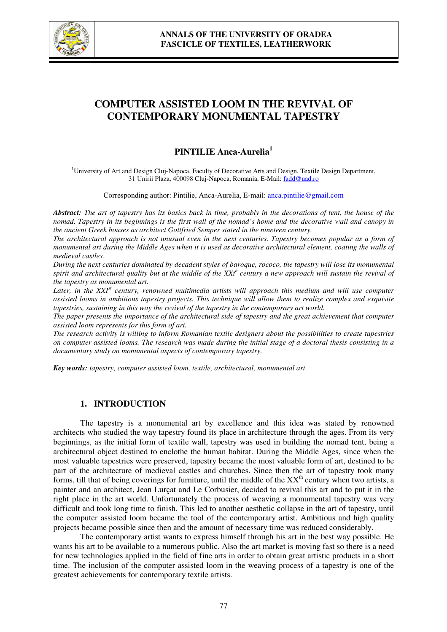

# **COMPUTER ASSISTED LOOM IN THE REVIVAL OF CONTEMPORARY MONUMENTAL TAPESTRY**

# **PINTILIE Anca-Aurelia<sup>1</sup>**

<sup>1</sup>University of Art and Design Cluj-Napoca, Faculty of Decorative Arts and Design, Textile Design Department, 31 Unirii Plaza, 400098 Cluj-Napoca, Romania, E-Mail: fadd@uad.ro

Corresponding author: Pintilie, Anca-Aurelia, E-mail: anca.pintilie@gmail.com

*Abstract: The art of tapestry has its basics back in time, probably in the decorations of tent, the house of the nomad. Tapestry in its beginnings is the first wall of the nomad's home and the decorative wall and canopy in the ancient Greek houses as architect Gottfried Semper stated in the nineteen century.* 

*The architectural approach is not unusual even in the next centuries. Tapestry becomes popular as a form of monumental art during the Middle Ages when it is used as decorative architectural element, coating the walls of medieval castles.* 

*During the next centuries dominated by decadent styles of baroque, rococo, the tapestry will lose its monumental spirit and architectural quality but at the middle of the XXt<sup>h</sup> century a new approach will sustain the revival of the tapestry as monumental art.* 

*Later, in the XXIst century, renowned multimedia artists will approach this medium and will use computer assisted looms in ambitious tapestry projects. This technique will allow them to realize complex and exquisite tapestries, sustaining in this way the revival of the tapestry in the contemporary art world.* 

*The paper presents the importance of the architectural side of tapestry and the great achievement that computer assisted loom represents for this form of art.* 

*The research activity is willing to inform Romanian textile designers about the possibilities to create tapestries on computer assisted looms. The research was made during the initial stage of a doctoral thesis consisting in a documentary study on monumental aspects of contemporary tapestry.* 

*Key words: tapestry, computer assisted loom, textile, architectural, monumental art* 

# **1. INTRODUCTION**

The tapestry is a monumental art by excellence and this idea was stated by renowned architects who studied the way tapestry found its place in architecture through the ages. From its very beginnings, as the initial form of textile wall, tapestry was used in building the nomad tent, being a architectural object destined to enclothe the human habitat. During the Middle Ages, since when the most valuable tapestries were preserved, tapestry became the most valuable form of art, destined to be part of the architecture of medieval castles and churches. Since then the art of tapestry took many forms, till that of being coverings for furniture, until the middle of the  $XX<sup>th</sup>$  century when two artists, a painter and an architect, Jean Lurçat and Le Corbusier, decided to revival this art and to put it in the right place in the art world. Unfortunately the process of weaving a monumental tapestry was very difficult and took long time to finish. This led to another aesthetic collapse in the art of tapestry, until the computer assisted loom became the tool of the contemporary artist. Ambitious and high quality projects became possible since then and the amount of necessary time was reduced considerably.

The contemporary artist wants to express himself through his art in the best way possible. He wants his art to be available to a numerous public. Also the art market is moving fast so there is a need for new technologies applied in the field of fine arts in order to obtain great artistic products in a short time. The inclusion of the computer assisted loom in the weaving process of a tapestry is one of the greatest achievements for contemporary textile artists.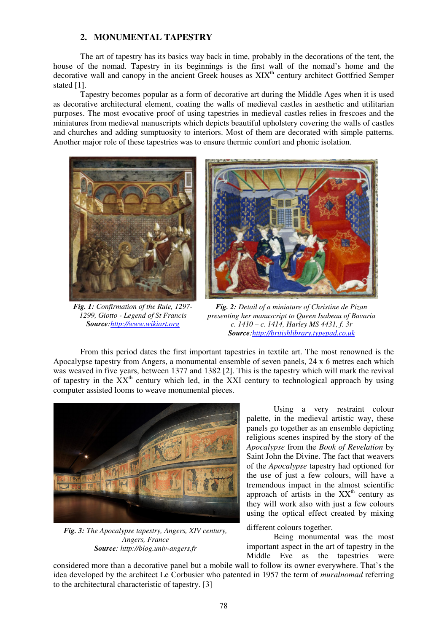# **2. MONUMENTAL TAPESTRY**

The art of tapestry has its basics way back in time, probably in the decorations of the tent, the house of the nomad. Tapestry in its beginnings is the first wall of the nomad's home and the decorative wall and canopy in the ancient Greek houses as  $XIX<sup>th</sup>$  century architect Gottfried Semper stated [1].

Tapestry becomes popular as a form of decorative art during the Middle Ages when it is used as decorative architectural element, coating the walls of medieval castles in aesthetic and utilitarian purposes. The most evocative proof of using tapestries in medieval castles relies in frescoes and the miniatures from medieval manuscripts which depicts beautiful upholstery covering the walls of castles and churches and adding sumptuosity to interiors. Most of them are decorated with simple patterns. Another major role of these tapestries was to ensure thermic comfort and phonic isolation.



*Fig. 1: Confirmation of the Rule, 1297- 1299, Giotto - Legend of St Francis Source:http://www.wikiart.org*



*Fig. 2: Detail of a miniature of Christine de Pizan presenting her manuscript to Queen Isabeau of Bavaria c. 1410 – c. 1414, Harley MS 4431, f. 3r Source:http://britishlibrary.typepad.co.uk*

 From this period dates the first important tapestries in textile art. The most renowned is the Apocalypse tapestry from Angers, a monumental ensemble of seven panels, 24 x 6 metres each which was weaved in five years, between 1377 and 1382 [2]. This is the tapestry which will mark the revival of tapestry in the  $XX<sup>th</sup>$  century which led, in the XXI century to technological approach by using computer assisted looms to weave monumental pieces.



*Fig. 3: The Apocalypse tapestry, Angers, XIV century, Angers, France Source: http://blog.univ-angers.fr* 

 Using a very restraint colour palette, in the medieval artistic way, these panels go together as an ensemble depicting religious scenes inspired by the story of the *Apocalypse* from the *Book of Revelation* by Saint John the Divine. The fact that weavers of the *Apocalypse* tapestry had optioned for the use of just a few colours, will have a tremendous impact in the almost scientific approach of artists in the  $XX<sup>th</sup>$  century as they will work also with just a few colours using the optical effect created by mixing

different colours together.

Being monumental was the most important aspect in the art of tapestry in the Middle Eve as the tapestries were

considered more than a decorative panel but a mobile wall to follow its owner everywhere. That's the idea developed by the architect Le Corbusier who patented in 1957 the term of *muralnomad* referring to the architectural characteristic of tapestry. [3]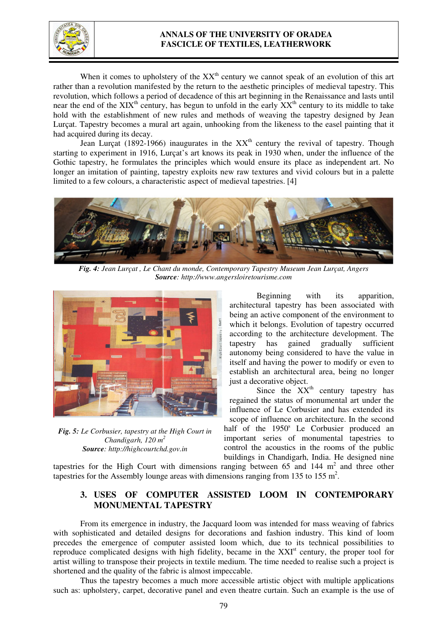

#### **ANNALS OF THE UNIVERSITY OF ORADEA FASCICLE OF TEXTILES, LEATHERWORK**

When it comes to upholstery of the  $XX<sup>th</sup>$  century we cannot speak of an evolution of this art rather than a revolution manifested by the return to the aesthetic principles of medieval tapestry. This revolution, which follows a period of decadence of this art beginning in the Renaissance and lasts until near the end of the  $XIX<sup>th</sup>$  century, has begun to unfold in the early  $XX<sup>th</sup>$  century to its middle to take hold with the establishment of new rules and methods of weaving the tapestry designed by Jean Lurçat. Tapestry becomes a mural art again, unhooking from the likeness to the easel painting that it had acquired during its decay.

Jean Lurçat (1892-1966) inaugurates in the  $XX<sup>th</sup>$  century the revival of tapestry. Though starting to experiment in 1916, Lurçat's art knows its peak in 1930 when, under the influence of the Gothic tapestry, he formulates the principles which would ensure its place as independent art. No longer an imitation of painting, tapestry exploits new raw textures and vivid colours but in a palette limited to a few colours, a characteristic aspect of medieval tapestries. [4]



*Fig. 4: Jean Lurçat , Le Chant du monde, Contemporary Tapestry Museum Jean Lurçat, Angers Source: http://www.angersloiretourisme.com* 



*Fig. 5: Le Corbusier, tapestry at the High Court in Chandigarh, 120 m<sup>2</sup> Source: http://highcourtchd.gov.in* 

Beginning with its apparition, architectural tapestry has been associated with being an active component of the environment to which it belongs. Evolution of tapestry occurred according to the architecture development. The tapestry has gained gradually sufficient autonomy being considered to have the value in itself and having the power to modify or even to establish an architectural area, being no longer just a decorative object.

Since the  $XX<sup>th</sup>$  century tapestry has regained the status of monumental art under the influence of Le Corbusier and has extended its scope of influence on architecture. In the second half of the 1950<sup>s</sup> Le Corbusier produced an important series of monumental tapestries to control the acoustics in the rooms of the public buildings in Chandigarh, India. He designed nine

tapestries for the High Court with dimensions ranging between  $65$  and  $144 \text{ m}^2$  and three other tapestries for the Assembly lounge areas with dimensions ranging from 135 to 155 m<sup>2</sup>.

# **3. USES OF COMPUTER ASSISTED LOOM IN CONTEMPORARY MONUMENTAL TAPESTRY**

From its emergence in industry, the Jacquard loom was intended for mass weaving of fabrics with sophisticated and detailed designs for decorations and fashion industry. This kind of loom precedes the emergence of computer assisted loom which, due to its technical possibilities to reproduce complicated designs with high fidelity, became in the XXI<sup>st</sup> century, the proper tool for artist willing to transpose their projects in textile medium. The time needed to realise such a project is shortened and the quality of the fabric is almost impeccable.

Thus the tapestry becomes a much more accessible artistic object with multiple applications such as: upholstery, carpet, decorative panel and even theatre curtain. Such an example is the use of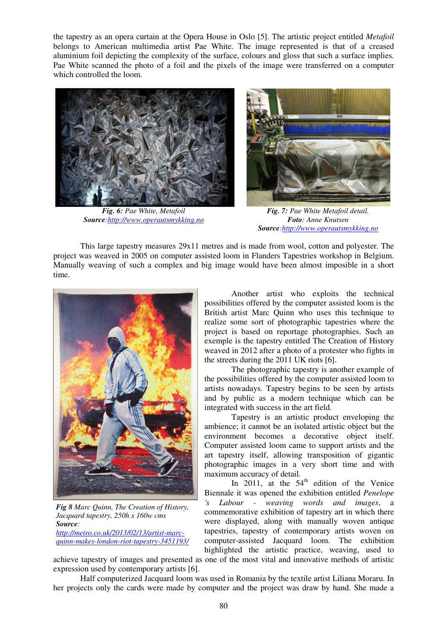the tapestry as an opera curtain at the Opera House in Oslo [5]. The artistic project entitled *Metafoil* belongs to American multimedia artist Pae White. The image represented is that of a creased aluminium foil depicting the complexity of the surface, colours and gloss that such a surface implies. Pae White scanned the photo of a foil and the pixels of the image were transferred on a computer which controlled the loom.



*Fig. 6: Pae White, Metafoil Source:http://www.operautsmykking.no*



*Fig. 7: Pae White Metafoil detail. Foto: Anne Knutsen Source:http://www.operautsmykking.no*

This large tapestry measures 29x11 metres and is made from wool, cotton and polyester. The project was weaved in 2005 on computer assisted loom in Flanders Tapestries workshop in Belgium. Manually weaving of such a complex and big image would have been almost imposible in a short time.



*Fig 8 Marc Quinn, The Creation of History, Jacquard tapestry, 250h x 160w cms Source: http://metro.co.uk/2013/02/13/artist-marcquinn-makes-london-riot-tapestry-3451193/* 

Another artist who exploits the technical possibilities offered by the computer assisted loom is the British artist Marc Quinn who uses this technique to realize some sort of photographic tapestries where the project is based on reportage photographies. Such an exemple is the tapestry entitled The Creation of History weaved in 2012 after a photo of a protester who fights in the streets during the 2011 UK riots [6].

The photographic tapestry is another example of the possibilities offered by the computer assisted loom to artists nowadays. Tapestry begins to be seen by artists and by public as a modern technique which can be integrated with success in the art field.

Tapestry is an artistic product enveloping the ambience; it cannot be an isolated artistic object but the environment becomes a decorative object itself. Computer assisted loom came to support artists and the art tapestry itself, allowing transposition of gigantic photographic images in a very short time and with maximum accuracy of detail.

In 2011, at the  $54<sup>th</sup>$  edition of the Venice Biennale it was opened the exhibition entitled *Penelope 's Labour - weaving words and images*, a commemorative exhibition of tapestry art in which there were displayed, along with manually woven antique tapestries, tapestry of contemporary artists woven on computer-assisted Jacquard loom. The exhibition highlighted the artistic practice, weaving, used to

achieve tapestry of images and presented as one of the most vital and innovative methods of artistic expression used by contemporary artists [6].

Half computerized Jacquard loom was used in Romania by the textile artist Liliana Moraru. In her projects only the cards were made by computer and the project was draw by hand. She made a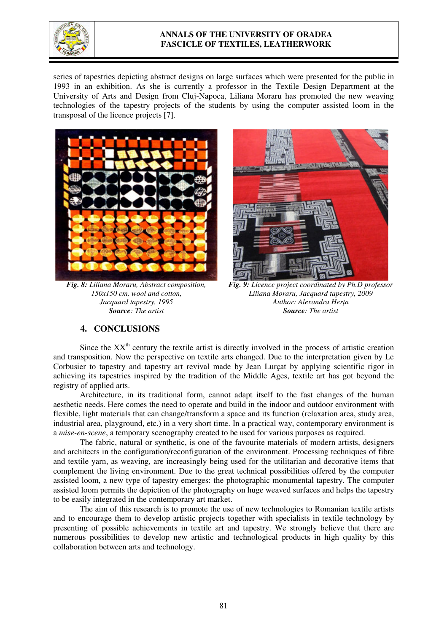

#### **ANNALS OF THE UNIVERSITY OF ORADEA FASCICLE OF TEXTILES, LEATHERWORK**

series of tapestries depicting abstract designs on large surfaces which were presented for the public in 1993 in an exhibition. As she is currently a professor in the Textile Design Department at the University of Arts and Design from Cluj-Napoca, Liliana Moraru has promoted the new weaving technologies of the tapestry projects of the students by using the computer assisted loom in the transposal of the licence projects [7].



*Fig. 8: Liliana Moraru, Abstract composition, 150x150 cm, wool and cotton, Jacquard tapestry, 1995 Source: The artist* 



*Fig. 9: Licence project coordinated by Ph.D professor Liliana Moraru, Jacquard tapestry, 2009 Author: Alexandra Herța Source: The artist* 

# **4. CONCLUSIONS**

Since the  $XX<sup>th</sup>$  century the textile artist is directly involved in the process of artistic creation and transposition. Now the perspective on textile arts changed. Due to the interpretation given by Le Corbusier to tapestry and tapestry art revival made by Jean Lurçat by applying scientific rigor in achieving its tapestries inspired by the tradition of the Middle Ages, textile art has got beyond the registry of applied arts.

Architecture, in its traditional form, cannot adapt itself to the fast changes of the human aesthetic needs. Here comes the need to operate and build in the indoor and outdoor environment with flexible, light materials that can change/transform a space and its function (relaxation area, study area, industrial area, playground, etc.) in a very short time. In a practical way, contemporary environment is a *mise-en-scene*, a temporary scenography created to be used for various purposes as required.

The fabric, natural or synthetic, is one of the favourite materials of modern artists, designers and architects in the configuration/reconfiguration of the environment. Processing techniques of fibre and textile yarn, as weaving, are increasingly being used for the utilitarian and decorative items that complement the living environment. Due to the great technical possibilities offered by the computer assisted loom, a new type of tapestry emerges: the photographic monumental tapestry. The computer assisted loom permits the depiction of the photography on huge weaved surfaces and helps the tapestry to be easily integrated in the contemporary art market.

The aim of this research is to promote the use of new technologies to Romanian textile artists and to encourage them to develop artistic projects together with specialists in textile technology by presenting of possible achievements in textile art and tapestry. We strongly believe that there are numerous possibilities to develop new artistic and technological products in high quality by this collaboration between arts and technology.